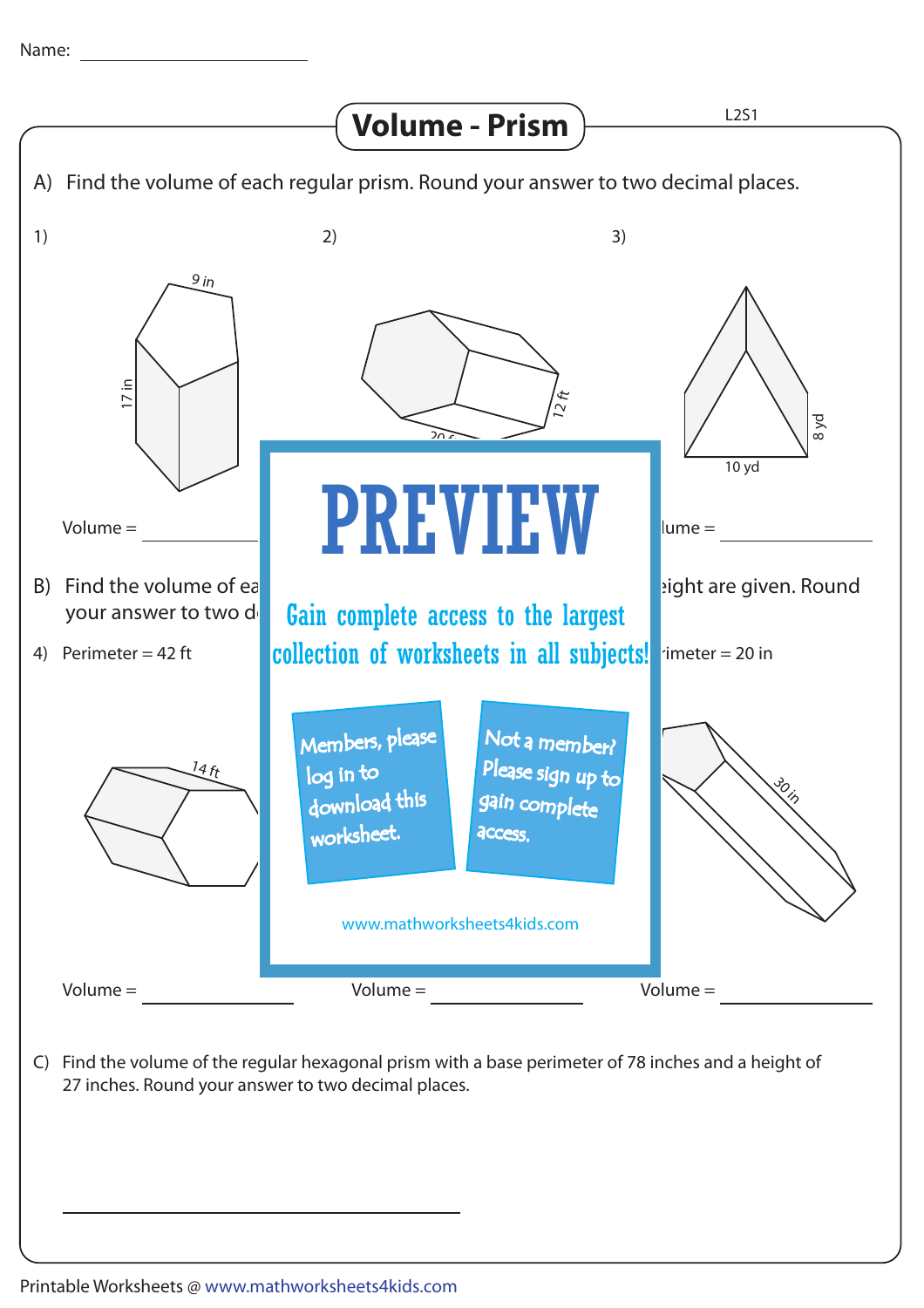